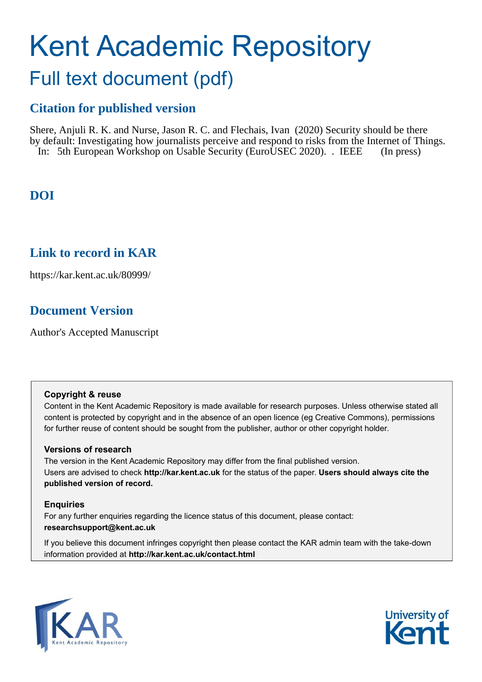# Kent Academic Repository Full text document (pdf)

# **Citation for published version**

Shere, Anjuli R. K. and Nurse, Jason R. C. and Flechais, Ivan (2020) Security should be there by default: Investigating how journalists perceive and respond to risks from the Internet of Things. In: 5th European Workshop on Usable Security (EuroUSEC 2020). . IEEE (In press)

# **DOI**

## **Link to record in KAR**

https://kar.kent.ac.uk/80999/

# **Document Version**

Author's Accepted Manuscript

#### **Copyright & reuse**

Content in the Kent Academic Repository is made available for research purposes. Unless otherwise stated all content is protected by copyright and in the absence of an open licence (eg Creative Commons), permissions for further reuse of content should be sought from the publisher, author or other copyright holder.

#### **Versions of research**

The version in the Kent Academic Repository may differ from the final published version. Users are advised to check **http://kar.kent.ac.uk** for the status of the paper. **Users should always cite the published version of record.**

#### **Enquiries**

For any further enquiries regarding the licence status of this document, please contact: **researchsupport@kent.ac.uk**

If you believe this document infringes copyright then please contact the KAR admin team with the take-down information provided at **http://kar.kent.ac.uk/contact.html**



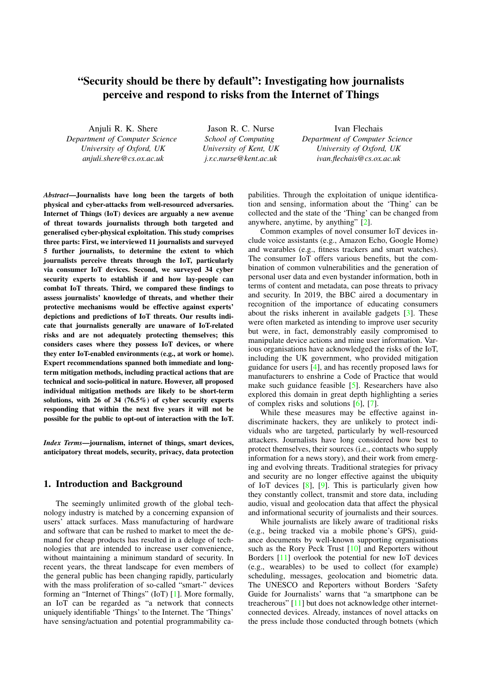### "Security should be there by default": Investigating how journalists perceive and respond to risks from the Internet of Things

Anjuli R. K. Shere

*Department of Computer Science University of Oxford, UK anjuli.shere@cs.ox.ac.uk*

Jason R. C. Nurse *School of Computing University of Kent, UK j.r.c.nurse@kent.ac.uk*

Ivan Flechais *Department of Computer Science University of Oxford, UK ivan.flechais@cs.ox.ac.uk*

*Abstract*—Journalists have long been the targets of both physical and cyber-attacks from well-resourced adversaries. Internet of Things (IoT) devices are arguably a new avenue of threat towards journalists through both targeted and generalised cyber-physical exploitation. This study comprises three parts: First, we interviewed 11 journalists and surveyed 5 further journalists, to determine the extent to which journalists perceive threats through the IoT, particularly via consumer IoT devices. Second, we surveyed 34 cyber security experts to establish if and how lay-people can combat IoT threats. Third, we compared these findings to assess journalists' knowledge of threats, and whether their protective mechanisms would be effective against experts' depictions and predictions of IoT threats. Our results indicate that journalists generally are unaware of IoT-related risks and are not adequately protecting themselves; this considers cases where they possess IoT devices, or where they enter IoT-enabled environments (e.g., at work or home). Expert recommendations spanned both immediate and longterm mitigation methods, including practical actions that are technical and socio-political in nature. However, all proposed individual mitigation methods are likely to be short-term solutions, with 26 of 34 (76.5%) of cyber security experts responding that within the next five years it will not be possible for the public to opt-out of interaction with the IoT.

*Index Terms*—journalism, internet of things, smart devices, anticipatory threat models, security, privacy, data protection

#### 1. Introduction and Background

The seemingly unlimited growth of the global technology industry is matched by a concerning expansion of users' attack surfaces. Mass manufacturing of hardware and software that can be rushed to market to meet the demand for cheap products has resulted in a deluge of technologies that are intended to increase user convenience, without maintaining a minimum standard of security. In recent years, the threat landscape for even members of the general public has been changing rapidly, particularly with the mass proliferation of so-called "smart-" devices forming an "Internet of Things" (IoT) [\[1\]](#page--1-0). More formally, an IoT can be regarded as "a network that connects uniquely identifiable 'Things' to the Internet. The 'Things' have sensing/actuation and potential programmability ca-

pabilities. Through the exploitation of unique identification and sensing, information about the 'Thing' can be collected and the state of the 'Thing' can be changed from anywhere, anytime, by anything" [\[2\]](#page--1-1).

Common examples of novel consumer IoT devices include voice assistants (e.g., Amazon Echo, Google Home) and wearables (e.g., fitness trackers and smart watches). The consumer IoT offers various benefits, but the combination of common vulnerabilities and the generation of personal user data and even bystander information, both in terms of content and metadata, can pose threats to privacy and security. In 2019, the BBC aired a documentary in recognition of the importance of educating consumers about the risks inherent in available gadgets [\[3\]](#page--1-2). These were often marketed as intending to improve user security but were, in fact, demonstrably easily compromised to manipulate device actions and mine user information. Various organisations have acknowledged the risks of the IoT, including the UK government, who provided mitigation guidance for users [\[4\]](#page--1-3), and has recently proposed laws for manufacturers to enshrine a Code of Practice that would make such guidance feasible [\[5\]](#page--1-4). Researchers have also explored this domain in great depth highlighting a series of complex risks and solutions [\[6\]](#page--1-5), [\[7\]](#page--1-6).

While these measures may be effective against indiscriminate hackers, they are unlikely to protect individuals who are targeted, particularly by well-resourced attackers. Journalists have long considered how best to protect themselves, their sources (i.e., contacts who supply information for a news story), and their work from emerging and evolving threats. Traditional strategies for privacy and security are no longer effective against the ubiquity of IoT devices [\[8\]](#page--1-7), [\[9\]](#page--1-8). This is particularly given how they constantly collect, transmit and store data, including audio, visual and geolocation data that affect the physical and informational security of journalists and their sources.

While journalists are likely aware of traditional risks (e.g., being tracked via a mobile phone's GPS), guidance documents by well-known supporting organisations such as the Rory Peck Trust [\[10\]](#page--1-9) and Reporters without Borders [\[11\]](#page--1-10) overlook the potential for new IoT devices (e.g., wearables) to be used to collect (for example) scheduling, messages, geolocation and biometric data. The UNESCO and Reporters without Borders 'Safety Guide for Journalists' warns that "a smartphone can be treacherous" [\[11\]](#page--1-10) but does not acknowledge other internetconnected devices. Already, instances of novel attacks on the press include those conducted through botnets (which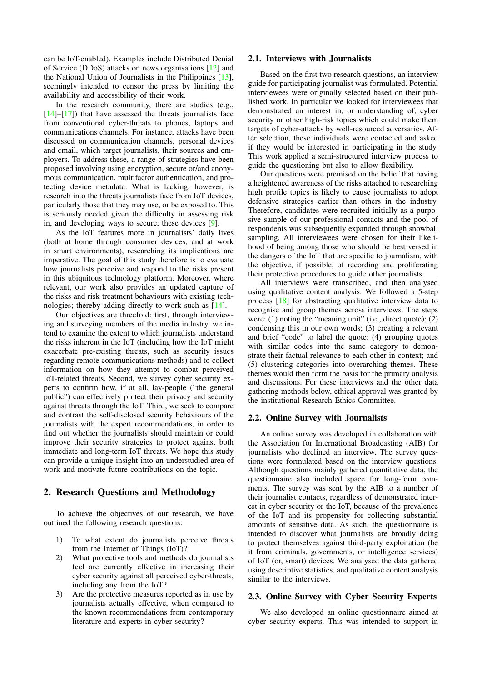can be IoT-enabled). Examples include Distributed Denial of Service (DDoS) attacks on news organisations [\[12\]](#page--1-11) and the National Union of Journalists in the Philippines [\[13\]](#page--1-12), seemingly intended to censor the press by limiting the availability and accessibility of their work.

In the research community, there are studies (e.g.,  $[14]$ – $[17]$ ) that have assessed the threats journalists face from conventional cyber-threats to phones, laptops and communications channels. For instance, attacks have been discussed on communication channels, personal devices and email, which target journalists, their sources and employers. To address these, a range of strategies have been proposed involving using encryption, secure or/and anonymous communication, multifactor authentication, and protecting device metadata. What is lacking, however, is research into the threats journalists face from IoT devices, particularly those that they may use, or be exposed to. This is seriously needed given the difficulty in assessing risk in, and developing ways to secure, these devices [\[9\]](#page--1-8).

As the IoT features more in journalists' daily lives (both at home through consumer devices, and at work in smart environments), researching its implications are imperative. The goal of this study therefore is to evaluate how journalists perceive and respond to the risks present in this ubiquitous technology platform. Moreover, where relevant, our work also provides an updated capture of the risks and risk treatment behaviours with existing technologies; thereby adding directly to work such as [\[14\]](#page--1-13).

Our objectives are threefold: first, through interviewing and surveying members of the media industry, we intend to examine the extent to which journalists understand the risks inherent in the IoT (including how the IoT might exacerbate pre-existing threats, such as security issues regarding remote communications methods) and to collect information on how they attempt to combat perceived IoT-related threats. Second, we survey cyber security experts to confirm how, if at all, lay-people ("the general public") can effectively protect their privacy and security against threats through the IoT. Third, we seek to compare and contrast the self-disclosed security behaviours of the journalists with the expert recommendations, in order to find out whether the journalists should maintain or could improve their security strategies to protect against both immediate and long-term IoT threats. We hope this study can provide a unique insight into an understudied area of work and motivate future contributions on the topic.

#### 2. Research Questions and Methodology

To achieve the objectives of our research, we have outlined the following research questions:

- 1) To what extent do journalists perceive threats from the Internet of Things (IoT)?
- 2) What protective tools and methods do journalists feel are currently effective in increasing their cyber security against all perceived cyber-threats, including any from the IoT?
- 3) Are the protective measures reported as in use by journalists actually effective, when compared to the known recommendations from contemporary literature and experts in cyber security?

#### 2.1. Interviews with Journalists

Based on the first two research questions, an interview guide for participating journalist was formulated. Potential interviewees were originally selected based on their published work. In particular we looked for interviewees that demonstrated an interest in, or understanding of, cyber security or other high-risk topics which could make them targets of cyber-attacks by well-resourced adversaries. After selection, these individuals were contacted and asked if they would be interested in participating in the study. This work applied a semi-structured interview process to guide the questioning but also to allow flexibility.

Our questions were premised on the belief that having a heightened awareness of the risks attached to researching high profile topics is likely to cause journalists to adopt defensive strategies earlier than others in the industry. Therefore, candidates were recruited initially as a purposive sample of our professional contacts and the pool of respondents was subsequently expanded through snowball sampling. All interviewees were chosen for their likelihood of being among those who should be best versed in the dangers of the IoT that are specific to journalism, with the objective, if possible, of recording and proliferating their protective procedures to guide other journalists.

All interviews were transcribed, and then analysed using qualitative content analysis. We followed a 5-step process [\[18\]](#page--1-15) for abstracting qualitative interview data to recognise and group themes across interviews. The steps were: (1) noting the "meaning unit" (i.e., direct quote); (2) condensing this in our own words; (3) creating a relevant and brief "code" to label the quote; (4) grouping quotes with similar codes into the same category to demonstrate their factual relevance to each other in context; and (5) clustering categories into overarching themes. These themes would then form the basis for the primary analysis and discussions. For these interviews and the other data gathering methods below, ethical approval was granted by the institutional Research Ethics Committee.

#### 2.2. Online Survey with Journalists

An online survey was developed in collaboration with the Association for International Broadcasting (AIB) for journalists who declined an interview. The survey questions were formulated based on the interview questions. Although questions mainly gathered quantitative data, the questionnaire also included space for long-form comments. The survey was sent by the AIB to a number of their journalist contacts, regardless of demonstrated interest in cyber security or the IoT, because of the prevalence of the IoT and its propensity for collecting substantial amounts of sensitive data. As such, the questionnaire is intended to discover what journalists are broadly doing to protect themselves against third-party exploitation (be it from criminals, governments, or intelligence services) of IoT (or, smart) devices. We analysed the data gathered using descriptive statistics, and qualitative content analysis similar to the interviews.

#### 2.3. Online Survey with Cyber Security Experts

We also developed an online questionnaire aimed at cyber security experts. This was intended to support in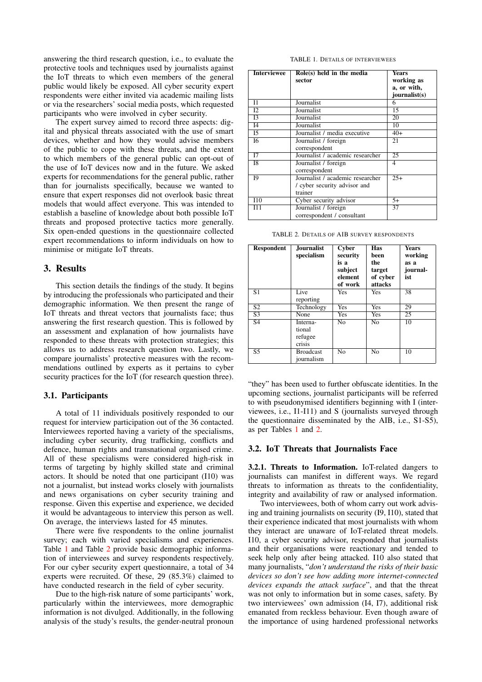answering the third research question, i.e., to evaluate the protective tools and techniques used by journalists against the IoT threats to which even members of the general public would likely be exposed. All cyber security expert respondents were either invited via academic mailing lists or via the researchers' social media posts, which requested participants who were involved in cyber security.

The expert survey aimed to record three aspects: digital and physical threats associated with the use of smart devices, whether and how they would advise members of the public to cope with these threats, and the extent to which members of the general public can opt-out of the use of IoT devices now and in the future. We asked experts for recommendations for the general public, rather than for journalists specifically, because we wanted to ensure that expert responses did not overlook basic threat models that would affect everyone. This was intended to establish a baseline of knowledge about both possible IoT threats and proposed protective tactics more generally. Six open-ended questions in the questionnaire collected expert recommendations to inform individuals on how to minimise or mitigate IoT threats.

#### 3. Results

This section details the findings of the study. It begins by introducing the professionals who participated and their demographic information. We then present the range of IoT threats and threat vectors that journalists face; thus answering the first research question. This is followed by an assessment and explanation of how journalists have responded to these threats with protection strategies; this allows us to address research question two. Lastly, we compare journalists' protective measures with the recommendations outlined by experts as it pertains to cyber security practices for the IoT (for research question three).

#### 3.1. Participants

A total of 11 individuals positively responded to our request for interview participation out of the 36 contacted. Interviewees reported having a variety of the specialisms, including cyber security, drug trafficking, conflicts and defence, human rights and transnational organised crime. All of these specialisms were considered high-risk in terms of targeting by highly skilled state and criminal actors. It should be noted that one participant (I10) was not a journalist, but instead works closely with journalists and news organisations on cyber security training and response. Given this expertise and experience, we decided it would be advantageous to interview this person as well. On average, the interviews lasted for 45 minutes.

There were five respondents to the online journalist survey; each with varied specialisms and experiences. Table [1](#page--1-16) and Table [2](#page--1-17) provide basic demographic information of interviewees and survey respondents respectively. For our cyber security expert questionnaire, a total of 34 experts were recruited. Of these, 29 (85.3%) claimed to have conducted research in the field of cyber security.

Due to the high-risk nature of some participants' work, particularly within the interviewees, more demographic information is not divulged. Additionally, in the following analysis of the study's results, the gender-neutral pronoun

TABLE 1. DETAILS OF INTERVIEWEES

| <b>Interviewee</b> | Role(s) held in the media        | <b>Years</b>  |
|--------------------|----------------------------------|---------------|
|                    | sector                           | working as    |
|                    |                                  | a, or with,   |
|                    |                                  | journalist(s) |
| $_{11}$            | Journalist                       | 6             |
| 12                 | Journalist                       | 15            |
| $\overline{13}$    | Journalist                       | 20            |
| I4                 | Journalist                       | 10            |
| 15                 | Journalist / media executive     | $40+$         |
| 16                 | Journalist / foreign             | 21            |
|                    | correspondent                    |               |
| 17                 | Journalist / academic researcher | 25            |
| I8                 | Journalist / foreign             | 4             |
|                    | correspondent                    |               |
| 19                 | Journalist / academic researcher | $25+$         |
|                    | / cyber security advisor and     |               |
|                    | trainer                          |               |
| <b>I10</b>         | Cyber security advisor           | $5+$          |
| I11                | Journalist / foreign             | 37            |
|                    | correspondent / consultant       |               |

TABLE 2. DETAILS OF AIB SURVEY RESPONDENTS

| <b>Respondent</b> | Journalist<br>specialism                | <b>Cyber</b><br>security<br>is a<br>subject<br>element<br>of work | <b>Has</b><br>been<br>the<br>target<br>of cyber<br>attacks | <b>Years</b><br>working<br>as a<br>journal-<br>ist |
|-------------------|-----------------------------------------|-------------------------------------------------------------------|------------------------------------------------------------|----------------------------------------------------|
| $\overline{S1}$   | Live<br>reporting                       | Yes                                                               | Yes                                                        | 38                                                 |
| $\overline{S2}$   | Technology                              | Yes                                                               | Yes                                                        | 29                                                 |
| $\overline{S3}$   | None                                    | Yes                                                               | Yes                                                        | 25                                                 |
| $\overline{S4}$   | Interna-<br>tional<br>refugee<br>crisis | $\overline{No}$                                                   | $\overline{No}$                                            | $\overline{10}$                                    |
| $\overline{S5}$   | <b>Broadcast</b><br>journalism          | $\overline{N_{0}}$                                                | $\overline{N_{O}}$                                         | 10                                                 |

"they" has been used to further obfuscate identities. In the upcoming sections, journalist participants will be referred to with pseudonymised identifiers beginning with I (interviewees, i.e., I1-I11) and S (journalists surveyed through the questionnaire disseminated by the AIB, i.e., S1-S5), as per Tables [1](#page--1-16) and [2.](#page--1-17)

#### 3.2. IoT Threats that Journalists Face

3.2.1. Threats to Information. IoT-related dangers to journalists can manifest in different ways. We regard threats to information as threats to the confidentiality, integrity and availability of raw or analysed information.

Two interviewees, both of whom carry out work advising and training journalists on security (I9, I10), stated that their experience indicated that most journalists with whom they interact are unaware of IoT-related threat models. I10, a cyber security advisor, responded that journalists and their organisations were reactionary and tended to seek help only after being attacked. I10 also stated that many journalists, "*don't understand the risks of their basic devices so don't see how adding more internet-connected devices expands the attack surface*", and that the threat was not only to information but in some cases, safety. By two interviewees' own admission (I4, I7), additional risk emanated from reckless behaviour. Even though aware of the importance of using hardened professional networks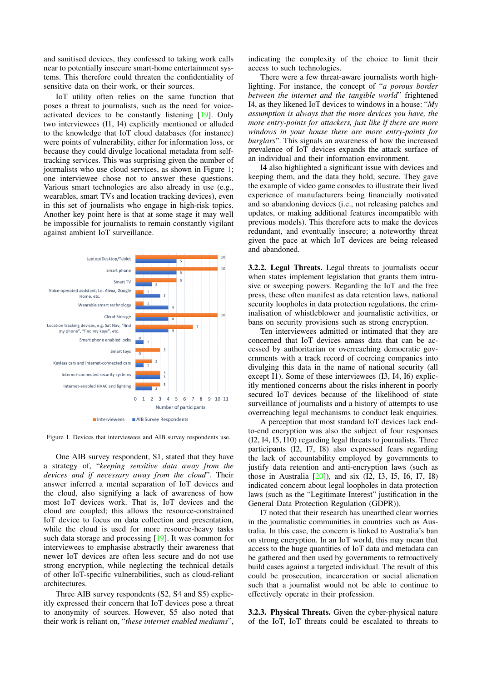and sanitised devices, they confessed to taking work calls near to potentially insecure smart-home entertainment systems. This therefore could threaten the confidentiality of sensitive data on their work, or their sources.

IoT utility often relies on the same function that poses a threat to journalists, such as the need for voiceactivated devices to be constantly listening [\[19\]](#page--1-18). Only two interviewees (I1, I4) explicitly mentioned or alluded to the knowledge that IoT cloud databases (for instance) were points of vulnerability, either for information loss, or because they could divulge locational metadata from selftracking services. This was surprising given the number of journalists who use cloud services, as shown in Figure [1;](#page--1-19) one interviewee chose not to answer these questions. Various smart technologies are also already in use (e.g., wearables, smart TVs and location tracking devices), even in this set of journalists who engage in high-risk topics. Another key point here is that at some stage it may well be impossible for journalists to remain constantly vigilant against ambient IoT surveillance.



Figure 1. Devices that interviewees and AIB survey respondents use.

One AIB survey respondent, S1, stated that they have a strategy of, "*keeping sensitive data away from the devices and if necessary away from the cloud*". Their answer inferred a mental separation of IoT devices and the cloud, also signifying a lack of awareness of how most IoT devices work. That is, IoT devices and the cloud are coupled; this allows the resource-constrained IoT device to focus on data collection and presentation, while the cloud is used for more resource-heavy tasks such data storage and processing [\[19\]](#page--1-18). It was common for interviewees to emphasise abstractly their awareness that newer IoT devices are often less secure and do not use strong encryption, while neglecting the technical details of other IoT-specific vulnerabilities, such as cloud-reliant architectures.

Three AIB survey respondents (S2, S4 and S5) explicitly expressed their concern that IoT devices pose a threat to anonymity of sources. However, S5 also noted that their work is reliant on, "*these internet enabled mediums*", indicating the complexity of the choice to limit their access to such technologies.

There were a few threat-aware journalists worth highlighting. For instance, the concept of "*a porous border between the internet and the tangible world*" frightened I4, as they likened IoT devices to windows in a house: "*My assumption is always that the more devices you have, the more entry-points for attackers, just like if there are more windows in your house there are more entry-points for burglars*". This signals an awareness of how the increased prevalence of IoT devices expands the attack surface of an individual and their information environment.

I4 also highlighted a significant issue with devices and keeping them, and the data they hold, secure. They gave the example of video game consoles to illustrate their lived experience of manufacturers being financially motivated and so abandoning devices (i.e., not releasing patches and updates, or making additional features incompatible with previous models). This therefore acts to make the devices redundant, and eventually insecure; a noteworthy threat given the pace at which IoT devices are being released and abandoned.

3.2.2. Legal Threats. Legal threats to journalists occur when states implement legislation that grants them intrusive or sweeping powers. Regarding the IoT and the free press, these often manifest as data retention laws, national security loopholes in data protection regulations, the criminalisation of whistleblower and journalistic activities, or bans on security provisions such as strong encryption.

Ten interviewees admitted or intimated that they are concerned that IoT devices amass data that can be accessed by authoritarian or overreaching democratic governments with a track record of coercing companies into divulging this data in the name of national security (all except I1). Some of these interviewees (I3, I4, I6) explicitly mentioned concerns about the risks inherent in poorly secured IoT devices because of the likelihood of state surveillance of journalists and a history of attempts to use overreaching legal mechanisms to conduct leak enquiries.

A perception that most standard IoT devices lack endto-end encryption was also the subject of four responses (I2, I4, I5, I10) regarding legal threats to journalists. Three participants (I2, I7, I8) also expressed fears regarding the lack of accountability employed by governments to justify data retention and anti-encryption laws (such as those in Australia [\[20\]](#page--1-20)), and six (I2, I3, I5, I6, I7, I8) indicated concern about legal loopholes in data protection laws (such as the "Legitimate Interest" justification in the General Data Protection Regulation (GDPR)).

I7 noted that their research has unearthed clear worries in the journalistic communities in countries such as Australia. In this case, the concern is linked to Australia's ban on strong encryption. In an IoT world, this may mean that access to the huge quantities of IoT data and metadata can be gathered and then used by governments to retroactively build cases against a targeted individual. The result of this could be prosecution, incarceration or social alienation such that a journalist would not be able to continue to effectively operate in their profession.

3.2.3. Physical Threats. Given the cyber-physical nature of the IoT, IoT threats could be escalated to threats to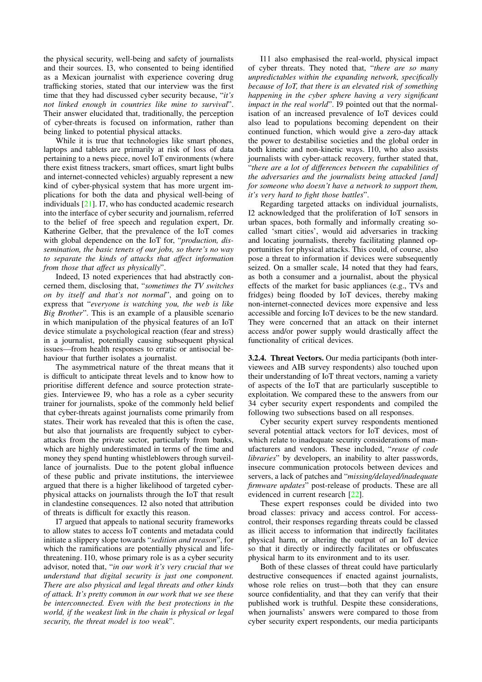the physical security, well-being and safety of journalists and their sources. I3, who consented to being identified as a Mexican journalist with experience covering drug trafficking stories, stated that our interview was the first time that they had discussed cyber security because, "*it's not linked enough in countries like mine to survival*". Their answer elucidated that, traditionally, the perception of cyber-threats is focused on information, rather than being linked to potential physical attacks.

While it is true that technologies like smart phones, laptops and tablets are primarily at risk of loss of data pertaining to a news piece, novel IoT environments (where there exist fitness trackers, smart offices, smart light bulbs and internet-connected vehicles) arguably represent a new kind of cyber-physical system that has more urgent implications for both the data and physical well-being of individuals [\[21\]](#page--1-21). I7, who has conducted academic research into the interface of cyber security and journalism, referred to the belief of free speech and regulation expert, Dr. Katherine Gelber, that the prevalence of the IoT comes with global dependence on the IoT for, "*production, dissemination, the basic tenets of our jobs, so there's no way to separate the kinds of attacks that affect information from those that affect us physically*".

Indeed, I3 noted experiences that had abstractly concerned them, disclosing that, "*sometimes the TV switches on by itself and that's not normal*", and going on to express that "*everyone is watching you, the web is like Big Brother*". This is an example of a plausible scenario in which manipulation of the physical features of an IoT device stimulate a psychological reaction (fear and stress) in a journalist, potentially causing subsequent physical issues—from health responses to erratic or antisocial behaviour that further isolates a journalist.

The asymmetrical nature of the threat means that it is difficult to anticipate threat levels and to know how to prioritise different defence and source protection strategies. Interviewee I9, who has a role as a cyber security trainer for journalists, spoke of the commonly held belief that cyber-threats against journalists come primarily from states. Their work has revealed that this is often the case, but also that journalists are frequently subject to cyberattacks from the private sector, particularly from banks, which are highly underestimated in terms of the time and money they spend hunting whistleblowers through surveillance of journalists. Due to the potent global influence of these public and private institutions, the interviewee argued that there is a higher likelihood of targeted cyberphysical attacks on journalists through the IoT that result in clandestine consequences. I2 also noted that attribution of threats is difficult for exactly this reason.

I7 argued that appeals to national security frameworks to allow states to access IoT contents and metadata could initiate a slippery slope towards "*sedition and treason*", for which the ramifications are potentially physical and lifethreatening. I10, whose primary role is as a cyber security advisor, noted that, "*in our work it's very crucial that we understand that digital security is just one component. There are also physical and legal threats and other kinds of attack. It's pretty common in our work that we see these be interconnected. Even with the best protections in the world, if the weakest link in the chain is physical or legal security, the threat model is too weak*".

I11 also emphasised the real-world, physical impact of cyber threats. They noted that, "*there are so many unpredictables within the expanding network, specifically because of IoT, that there is an elevated risk of something happening in the cyber sphere having a very significant impact in the real world*". I9 pointed out that the normalisation of an increased prevalence of IoT devices could also lead to populations becoming dependent on their continued function, which would give a zero-day attack the power to destabilise societies and the global order in both kinetic and non-kinetic ways. I10, who also assists journalists with cyber-attack recovery, further stated that, "*there are a lot of differences between the capabilities of the adversaries and the journalists being attacked [and] for someone who doesn't have a network to support them, it's very hard to fight those battles*".

Regarding targeted attacks on individual journalists, I2 acknowledged that the proliferation of IoT sensors in urban spaces, both formally and informally creating socalled 'smart cities', would aid adversaries in tracking and locating journalists, thereby facilitating planned opportunities for physical attacks. This could, of course, also pose a threat to information if devices were subsequently seized. On a smaller scale, I4 noted that they had fears, as both a consumer and a journalist, about the physical effects of the market for basic appliances (e.g., TVs and fridges) being flooded by IoT devices, thereby making non-internet-connected devices more expensive and less accessible and forcing IoT devices to be the new standard. They were concerned that an attack on their internet access and/or power supply would drastically affect the functionality of critical devices.

3.2.4. Threat Vectors. Our media participants (both interviewees and AIB survey respondents) also touched upon their understanding of IoT threat vectors, naming a variety of aspects of the IoT that are particularly susceptible to exploitation. We compared these to the answers from our 34 cyber security expert respondents and compiled the following two subsections based on all responses.

Cyber security expert survey respondents mentioned several potential attack vectors for IoT devices, most of which relate to inadequate security considerations of manufacturers and vendors. These included, "*reuse of code libraries*" by developers, an inability to alter passwords, insecure communication protocols between devices and servers, a lack of patches and "*missing/delayed/inadequate firmware updates*" post-release of products. These are all evidenced in current research [\[22\]](#page--1-22).

These expert responses could be divided into two broad classes: privacy and access control. For accesscontrol, their responses regarding threats could be classed as illicit access to information that indirectly facilitates physical harm, or altering the output of an IoT device so that it directly or indirectly facilitates or obfuscates physical harm to its environment and to its user.

Both of these classes of threat could have particularly destructive consequences if enacted against journalists, whose role relies on trust—both that they can ensure source confidentiality, and that they can verify that their published work is truthful. Despite these considerations, when journalists' answers were compared to those from cyber security expert respondents, our media participants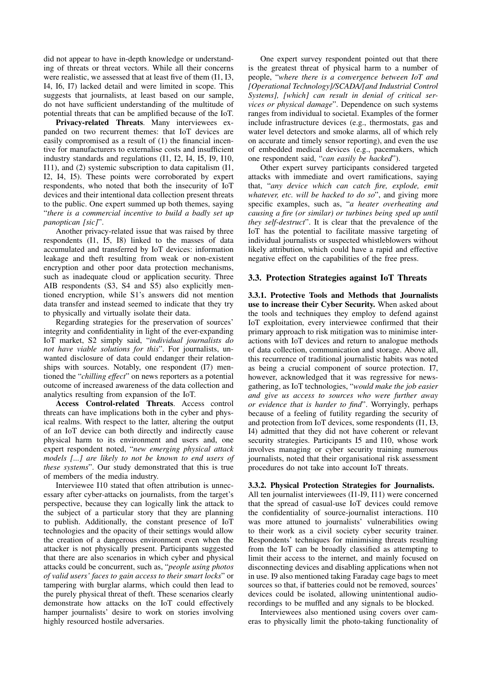did not appear to have in-depth knowledge or understanding of threats or threat vectors. While all their concerns were realistic, we assessed that at least five of them (I1, I3, I4, I6, I7) lacked detail and were limited in scope. This suggests that journalists, at least based on our sample, do not have sufficient understanding of the multitude of potential threats that can be amplified because of the IoT.

Privacy-related Threats. Many interviewees expanded on two recurrent themes: that IoT devices are easily compromised as a result of (1) the financial incentive for manufacturers to externalise costs and insufficient industry standards and regulations (I1, I2, I4, I5, I9, I10, I11), and (2) systemic subscription to data capitalism (I1, I2, I4, I5). These points were corroborated by expert respondents, who noted that both the insecurity of IoT devices and their intentional data collection present threats to the public. One expert summed up both themes, saying "*there is a commercial incentive to build a badly set up panoptican [sic]*".

Another privacy-related issue that was raised by three respondents (I1, I5, I8) linked to the masses of data accumulated and transferred by IoT devices: information leakage and theft resulting from weak or non-existent encryption and other poor data protection mechanisms, such as inadequate cloud or application security. Three AIB respondents (S3, S4 and S5) also explicitly mentioned encryption, while S1's answers did not mention data transfer and instead seemed to indicate that they try to physically and virtually isolate their data.

Regarding strategies for the preservation of sources' integrity and confidentiality in light of the ever-expanding IoT market, S2 simply said, "*individual journalists do not have viable solutions for this*". For journalists, unwanted disclosure of data could endanger their relationships with sources. Notably, one respondent (I7) mentioned the "*chilling effect*" on news reporters as a potential outcome of increased awareness of the data collection and analytics resulting from expansion of the IoT.

Access Control-related Threats. Access control threats can have implications both in the cyber and physical realms. With respect to the latter, altering the output of an IoT device can both directly and indirectly cause physical harm to its environment and users and, one expert respondent noted, "*new emerging physical attack models [...] are likely to not be known to end users of these systems*". Our study demonstrated that this is true of members of the media industry.

Interviewee I10 stated that often attribution is unnecessary after cyber-attacks on journalists, from the target's perspective, because they can logically link the attack to the subject of a particular story that they are planning to publish. Additionally, the constant presence of IoT technologies and the opacity of their settings would allow the creation of a dangerous environment even when the attacker is not physically present. Participants suggested that there are also scenarios in which cyber and physical attacks could be concurrent, such as, "*people using photos of valid users' faces to gain access to their smart locks*" or tampering with burglar alarms, which could then lead to the purely physical threat of theft. These scenarios clearly demonstrate how attacks on the IoT could effectively hamper journalists' desire to work on stories involving highly resourced hostile adversaries.

One expert survey respondent pointed out that there is the greatest threat of physical harm to a number of people, "*where there is a convergence between IoT and [Operational Technology]/SCADA/[and Industrial Control Systems], [which] can result in denial of critical services or physical damage*". Dependence on such systems ranges from individual to societal. Examples of the former include infrastructure devices (e.g., thermostats, gas and water level detectors and smoke alarms, all of which rely on accurate and timely sensor reporting), and even the use of embedded medical devices (e.g., pacemakers, which one respondent said, "*can easily be hacked*").

Other expert survey participants considered targeted attacks with immediate and overt ramifications, saying that, "*any device which can catch fire, explode, emit whatever, etc. will be hacked to do so*", and giving more specific examples, such as, "*a heater overheating and causing a fire (or similar) or turbines being sped up until they self-destruct*". It is clear that the prevalence of the IoT has the potential to facilitate massive targeting of individual journalists or suspected whistleblowers without likely attribution, which could have a rapid and effective negative effect on the capabilities of the free press.

#### 3.3. Protection Strategies against IoT Threats

3.3.1. Protective Tools and Methods that Journalists use to increase their Cyber Security. When asked about the tools and techniques they employ to defend against IoT exploitation, every interviewee confirmed that their primary approach to risk mitigation was to minimise interactions with IoT devices and return to analogue methods of data collection, communication and storage. Above all, this recurrence of traditional journalistic habits was noted as being a crucial component of source protection. I7, however, acknowledged that it was regressive for newsgathering, as IoT technologies, "*would make the job easier and give us access to sources who were further away or evidence that is harder to find*". Worryingly, perhaps because of a feeling of futility regarding the security of and protection from IoT devices, some respondents (I1, I3, I4) admitted that they did not have coherent or relevant security strategies. Participants I5 and I10, whose work involves managing or cyber security training numerous journalists, noted that their organisational risk assessment procedures do not take into account IoT threats.

#### 3.3.2. Physical Protection Strategies for Journalists.

All ten journalist interviewees (I1-I9, I11) were concerned that the spread of casual-use IoT devices could remove the confidentiality of source-journalist interactions. I10 was more attuned to journalists' vulnerabilities owing to their work as a civil society cyber security trainer. Respondents' techniques for minimising threats resulting from the IoT can be broadly classified as attempting to limit their access to the internet, and mainly focused on disconnecting devices and disabling applications when not in use. I9 also mentioned taking Faraday cage bags to meet sources so that, if batteries could not be removed, sources' devices could be isolated, allowing unintentional audiorecordings to be muffled and any signals to be blocked.

Interviewees also mentioned using covers over cameras to physically limit the photo-taking functionality of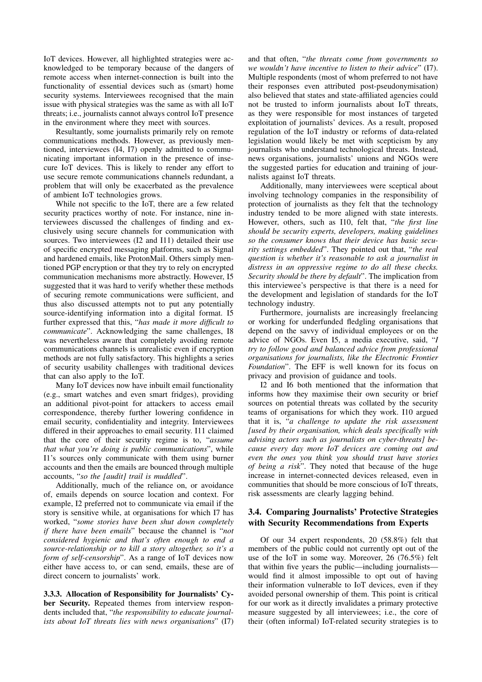IoT devices. However, all highlighted strategies were acknowledged to be temporary because of the dangers of remote access when internet-connection is built into the functionality of essential devices such as (smart) home security systems. Interviewees recognised that the main issue with physical strategies was the same as with all IoT threats; i.e., journalists cannot always control IoT presence in the environment where they meet with sources.

Resultantly, some journalists primarily rely on remote communications methods. However, as previously mentioned, interviewees (I4, I7) openly admitted to communicating important information in the presence of insecure IoT devices. This is likely to render any effort to use secure remote communications channels redundant, a problem that will only be exacerbated as the prevalence of ambient IoT technologies grows.

While not specific to the IoT, there are a few related security practices worthy of note. For instance, nine interviewees discussed the challenges of finding and exclusively using secure channels for communication with sources. Two interviewees (I2 and I11) detailed their use of specific encrypted messaging platforms, such as Signal and hardened emails, like ProtonMail. Others simply mentioned PGP encryption or that they try to rely on encrypted communication mechanisms more abstractly. However, I5 suggested that it was hard to verify whether these methods of securing remote communications were sufficient, and thus also discussed attempts not to put any potentially source-identifying information into a digital format. I5 further expressed that this, "*has made it more difficult to communicate*". Acknowledging the same challenges, I8 was nevertheless aware that completely avoiding remote communications channels is unrealistic even if encryption methods are not fully satisfactory. This highlights a series of security usability challenges with traditional devices that can also apply to the IoT.

Many IoT devices now have inbuilt email functionality (e.g., smart watches and even smart fridges), providing an additional pivot-point for attackers to access email correspondence, thereby further lowering confidence in email security, confidentiality and integrity. Interviewees differed in their approaches to email security. I11 claimed that the core of their security regime is to, "*assume that what you're doing is public communications*", while I1's sources only communicate with them using burner accounts and then the emails are bounced through multiple accounts, "*so the [audit] trail is muddled*".

Additionally, much of the reliance on, or avoidance of, emails depends on source location and context. For example, I2 preferred not to communicate via email if the story is sensitive while, at organisations for which I7 has worked, "*some stories have been shut down completely if there have been emails*" because the channel is "*not considered hygienic and that's often enough to end a source-relationship or to kill a story altogether, so it's a form of self-censorship*". As a range of IoT devices now either have access to, or can send, emails, these are of direct concern to journalists' work.

3.3.3. Allocation of Responsibility for Journalists' Cyber Security. Repeated themes from interview respondents included that, "*the responsibility to educate journalists about IoT threats lies with news organisations*" (I7)

and that often, "*the threats come from governments so we wouldn't have incentive to listen to their advice*" (I7). Multiple respondents (most of whom preferred to not have their responses even attributed post-pseudonymisation) also believed that states and state-affiliated agencies could not be trusted to inform journalists about IoT threats, as they were responsible for most instances of targeted exploitation of journalists' devices. As a result, proposed regulation of the IoT industry or reforms of data-related legislation would likely be met with scepticism by any journalists who understand technological threats. Instead, news organisations, journalists' unions and NGOs were the suggested parties for education and training of journalists against IoT threats.

Additionally, many interviewees were sceptical about involving technology companies in the responsibility of protection of journalists as they felt that the technology industry tended to be more aligned with state interests. However, others, such as I10, felt that, "*the first line should be security experts, developers, making guidelines so the consumer knows that their device has basic security settings embedded*". They pointed out that, "*the real question is whether it's reasonable to ask a journalist in distress in an oppressive regime to do all these checks. Security should be there by default*". The implication from this interviewee's perspective is that there is a need for the development and legislation of standards for the IoT technology industry.

Furthermore, journalists are increasingly freelancing or working for underfunded fledgling organisations that depend on the savvy of individual employees or on the advice of NGOs. Even I5, a media executive, said, "*I try to follow good and balanced advice from professional organisations for journalists, like the Electronic Frontier Foundation*". The EFF is well known for its focus on privacy and provision of guidance and tools.

I2 and I6 both mentioned that the information that informs how they maximise their own security or brief sources on potential threats was collated by the security teams of organisations for which they work. I10 argued that it is, "*a challenge to update the risk assessment [used by their organisation, which deals specifically with advising actors such as journalists on cyber-threats] because every day more IoT devices are coming out and even the ones you think you should trust have stories of being a risk*". They noted that because of the huge increase in internet-connected devices released, even in communities that should be more conscious of IoT threats, risk assessments are clearly lagging behind.

#### 3.4. Comparing Journalists' Protective Strategies with Security Recommendations from Experts

Of our 34 expert respondents, 20 (58.8%) felt that members of the public could not currently opt out of the use of the IoT in some way. Moreover, 26 (76.5%) felt that within five years the public—including journalists would find it almost impossible to opt out of having their information vulnerable to IoT devices, even if they avoided personal ownership of them. This point is critical for our work as it directly invalidates a primary protective measure suggested by all interviewees; i.e., the core of their (often informal) IoT-related security strategies is to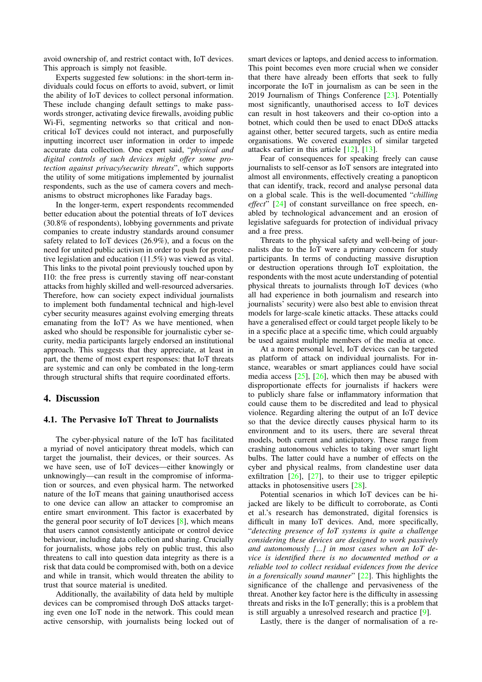avoid ownership of, and restrict contact with, IoT devices. This approach is simply not feasible.

Experts suggested few solutions: in the short-term individuals could focus on efforts to avoid, subvert, or limit the ability of IoT devices to collect personal information. These include changing default settings to make passwords stronger, activating device firewalls, avoiding public Wi-Fi, segmenting networks so that critical and noncritical IoT devices could not interact, and purposefully inputting incorrect user information in order to impede accurate data collection. One expert said, "*physical and digital controls of such devices might offer some protection against privacy/security threats*", which supports the utility of some mitigations implemented by journalist respondents, such as the use of camera covers and mechanisms to obstruct microphones like Faraday bags.

In the longer-term, expert respondents recommended better education about the potential threats of IoT devices (30.8% of respondents), lobbying governments and private companies to create industry standards around consumer safety related to IoT devices (26.9%), and a focus on the need for united public activism in order to push for protective legislation and education (11.5%) was viewed as vital. This links to the pivotal point previously touched upon by I10: the free press is currently staving off near-constant attacks from highly skilled and well-resourced adversaries. Therefore, how can society expect individual journalists to implement both fundamental technical and high-level cyber security measures against evolving emerging threats emanating from the IoT? As we have mentioned, when asked who should be responsible for journalistic cyber security, media participants largely endorsed an institutional approach. This suggests that they appreciate, at least in part, the theme of most expert responses: that IoT threats are systemic and can only be combated in the long-term through structural shifts that require coordinated efforts.

#### 4. Discussion

#### 4.1. The Pervasive IoT Threat to Journalists

The cyber-physical nature of the IoT has facilitated a myriad of novel anticipatory threat models, which can target the journalist, their devices, or their sources. As we have seen, use of IoT devices—either knowingly or unknowingly—can result in the compromise of information or sources, and even physical harm. The networked nature of the IoT means that gaining unauthorised access to one device can allow an attacker to compromise an entire smart environment. This factor is exacerbated by the general poor security of IoT devices  $[8]$ , which means that users cannot consistently anticipate or control device behaviour, including data collection and sharing. Crucially for journalists, whose jobs rely on public trust, this also threatens to call into question data integrity as there is a risk that data could be compromised with, both on a device and while in transit, which would threaten the ability to trust that source material is unedited.

Additionally, the availability of data held by multiple devices can be compromised through DoS attacks targeting even one IoT node in the network. This could mean active censorship, with journalists being locked out of smart devices or laptops, and denied access to information. This point becomes even more crucial when we consider that there have already been efforts that seek to fully incorporate the IoT in journalism as can be seen in the 2019 Journalism of Things Conference [\[23\]](#page--1-23). Potentially most significantly, unauthorised access to IoT devices can result in host takeovers and their co-option into a botnet, which could then be used to enact DDoS attacks against other, better secured targets, such as entire media organisations. We covered examples of similar targeted attacks earlier in this article [\[12\]](#page--1-11), [\[13\]](#page--1-12).

Fear of consequences for speaking freely can cause journalists to self-censor as IoT sensors are integrated into almost all environments, effectively creating a panopticon that can identify, track, record and analyse personal data on a global scale. This is the well-documented "*chilling effect*" [\[24\]](#page--1-24) of constant surveillance on free speech, enabled by technological advancement and an erosion of legislative safeguards for protection of individual privacy and a free press.

Threats to the physical safety and well-being of journalists due to the IoT were a primary concern for study participants. In terms of conducting massive disruption or destruction operations through IoT exploitation, the respondents with the most acute understanding of potential physical threats to journalists through IoT devices (who all had experience in both journalism and research into journalists' security) were also best able to envision threat models for large-scale kinetic attacks. These attacks could have a generalised effect or could target people likely to be in a specific place at a specific time, which could arguably be used against multiple members of the media at once.

At a more personal level, IoT devices can be targeted as platform of attack on individual journalists. For instance, wearables or smart appliances could have social media access  $[25]$ ,  $[26]$ , which then may be abused with disproportionate effects for journalists if hackers were to publicly share false or inflammatory information that could cause them to be discredited and lead to physical violence. Regarding altering the output of an IoT device so that the device directly causes physical harm to its environment and to its users, there are several threat models, both current and anticipatory. These range from crashing autonomous vehicles to taking over smart light bulbs. The latter could have a number of effects on the cyber and physical realms, from clandestine user data exfiltration  $[26]$ ,  $[27]$ , to their use to trigger epileptic attacks in photosensitive users [\[28\]](#page--1-28).

Potential scenarios in which IoT devices can be hijacked are likely to be difficult to corroborate, as Conti et al.'s research has demonstrated, digital forensics is difficult in many IoT devices. And, more specifically, "*detecting presence of IoT systems is quite a challenge considering these devices are designed to work passively and autonomously [...] in most cases when an IoT device is identified there is no documented method or a reliable tool to collect residual evidences from the device in a forensically sound manner*" [\[22\]](#page--1-22). This highlights the significance of the challenge and pervasiveness of the threat. Another key factor here is the difficulty in assessing threats and risks in the IoT generally; this is a problem that is still arguably a unresolved research and practice [\[9\]](#page--1-8).

Lastly, there is the danger of normalisation of a re-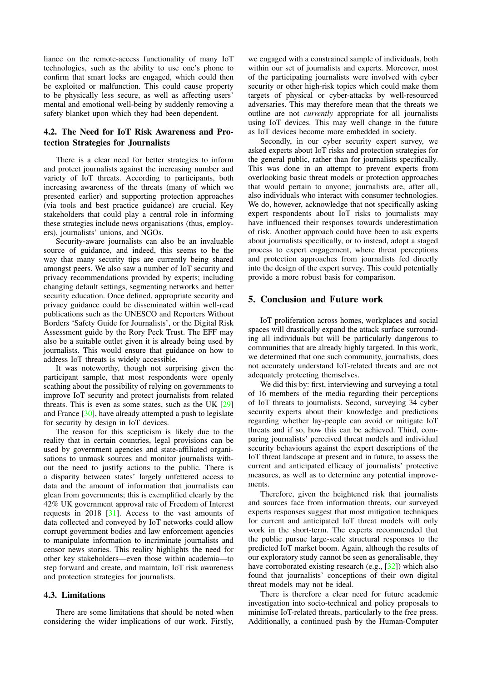liance on the remote-access functionality of many IoT technologies, such as the ability to use one's phone to confirm that smart locks are engaged, which could then be exploited or malfunction. This could cause property to be physically less secure, as well as affecting users' mental and emotional well-being by suddenly removing a safety blanket upon which they had been dependent.

#### 4.2. The Need for IoT Risk Awareness and Protection Strategies for Journalists

There is a clear need for better strategies to inform and protect journalists against the increasing number and variety of IoT threats. According to participants, both increasing awareness of the threats (many of which we presented earlier) and supporting protection approaches (via tools and best practice guidance) are crucial. Key stakeholders that could play a central role in informing these strategies include news organisations (thus, employers), journalists' unions, and NGOs.

Security-aware journalists can also be an invaluable source of guidance, and indeed, this seems to be the way that many security tips are currently being shared amongst peers. We also saw a number of IoT security and privacy recommendations provided by experts; including changing default settings, segmenting networks and better security education. Once defined, appropriate security and privacy guidance could be disseminated within well-read publications such as the UNESCO and Reporters Without Borders 'Safety Guide for Journalists', or the Digital Risk Assessment guide by the Rory Peck Trust. The EFF may also be a suitable outlet given it is already being used by journalists. This would ensure that guidance on how to address IoT threats is widely accessible.

It was noteworthy, though not surprising given the participant sample, that most respondents were openly scathing about the possibility of relying on governments to improve IoT security and protect journalists from related threats. This is even as some states, such as the UK [\[29\]](#page--1-29) and France [\[30\]](#page--1-30), have already attempted a push to legislate for security by design in IoT devices.

The reason for this scepticism is likely due to the reality that in certain countries, legal provisions can be used by government agencies and state-affiliated organisations to unmask sources and monitor journalists without the need to justify actions to the public. There is a disparity between states' largely unfettered access to data and the amount of information that journalists can glean from governments; this is exemplified clearly by the 42% UK government approval rate of Freedom of Interest requests in 2018 [\[31\]](#page--1-31). Access to the vast amounts of data collected and conveyed by IoT networks could allow corrupt government bodies and law enforcement agencies to manipulate information to incriminate journalists and censor news stories. This reality highlights the need for other key stakeholders—even those within academia—to step forward and create, and maintain, IoT risk awareness and protection strategies for journalists.

#### 4.3. Limitations

There are some limitations that should be noted when considering the wider implications of our work. Firstly, we engaged with a constrained sample of individuals, both within our set of journalists and experts. Moreover, most of the participating journalists were involved with cyber security or other high-risk topics which could make them targets of physical or cyber-attacks by well-resourced adversaries. This may therefore mean that the threats we outline are not *currently* appropriate for all journalists using IoT devices. This may well change in the future as IoT devices become more embedded in society.

Secondly, in our cyber security expert survey, we asked experts about IoT risks and protection strategies for the general public, rather than for journalists specifically. This was done in an attempt to prevent experts from overlooking basic threat models or protection approaches that would pertain to anyone; journalists are, after all, also individuals who interact with consumer technologies. We do, however, acknowledge that not specifically asking expert respondents about IoT risks to journalists may have influenced their responses towards underestimation of risk. Another approach could have been to ask experts about journalists specifically, or to instead, adopt a staged process to expert engagement, where threat perceptions and protection approaches from journalists fed directly into the design of the expert survey. This could potentially provide a more robust basis for comparison.

#### 5. Conclusion and Future work

IoT proliferation across homes, workplaces and social spaces will drastically expand the attack surface surrounding all individuals but will be particularly dangerous to communities that are already highly targeted. In this work, we determined that one such community, journalists, does not accurately understand IoT-related threats and are not adequately protecting themselves.

We did this by: first, interviewing and surveying a total of 16 members of the media regarding their perceptions of IoT threats to journalists. Second, surveying 34 cyber security experts about their knowledge and predictions regarding whether lay-people can avoid or mitigate IoT threats and if so, how this can be achieved. Third, comparing journalists' perceived threat models and individual security behaviours against the expert descriptions of the IoT threat landscape at present and in future, to assess the current and anticipated efficacy of journalists' protective measures, as well as to determine any potential improvements.

Therefore, given the heightened risk that journalists and sources face from information threats, our surveyed experts responses suggest that most mitigation techniques for current and anticipated IoT threat models will only work in the short-term. The experts recommended that the public pursue large-scale structural responses to the predicted IoT market boom. Again, although the results of our exploratory study cannot be seen as generalisable, they have corroborated existing research (e.g., [\[32\]](#page--1-32)) which also found that journalists' conceptions of their own digital threat models may not be ideal.

There is therefore a clear need for future academic investigation into socio-technical and policy proposals to minimise IoT-related threats, particularly to the free press. Additionally, a continued push by the Human-Computer